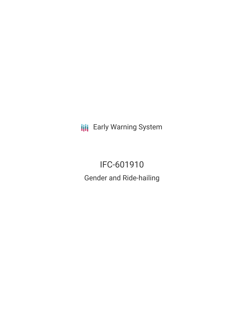**III** Early Warning System

# IFC-601910 Gender and Ride-hailing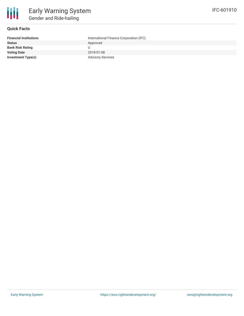

### **Quick Facts**

| <b>Financial Institutions</b> | International Finance Corporation (IFC) |
|-------------------------------|-----------------------------------------|
| <b>Status</b>                 | Approved                                |
| <b>Bank Risk Rating</b>       |                                         |
| <b>Voting Date</b>            | 2018-01-08                              |
| <b>Investment Type(s)</b>     | <b>Advisory Services</b>                |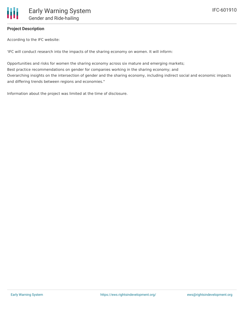## **Project Description**

According to the IFC website:

'IFC will conduct research into the impacts of the sharing economy on women. It will inform:

Opportunities and risks for women the sharing economy across six mature and emerging markets; Best practice recommendations on gender for companies working in the sharing economy; and Overarching insights on the intersection of gender and the sharing economy, including indirect social and economic impacts and differing trends between regions and economies."

Information about the project was limited at the time of disclosure.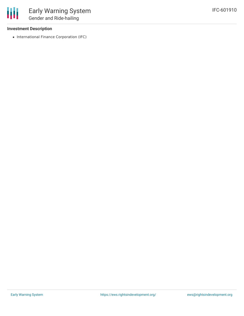### **Investment Description**

冊

• International Finance Corporation (IFC)